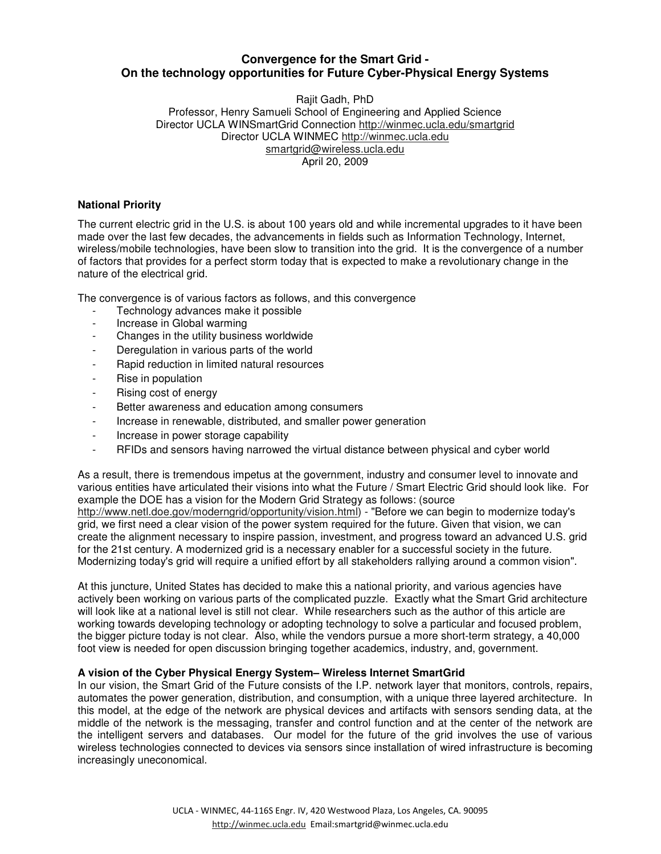# **Convergence for the Smart Grid - On the technology opportunities for Future Cyber-Physical Energy Systems**

Rajit Gadh, PhD Professor, Henry Samueli School of Engineering and Applied Science Director UCLA WINSmartGrid Connection http://winmec.ucla.edu/smartgrid Director UCLA WINMEC http://winmec.ucla.edu smartgrid@wireless.ucla.edu April 20, 2009

# **National Priority**

The current electric grid in the U.S. is about 100 years old and while incremental upgrades to it have been made over the last few decades, the advancements in fields such as Information Technology, Internet, wireless/mobile technologies, have been slow to transition into the grid. It is the convergence of a number of factors that provides for a perfect storm today that is expected to make a revolutionary change in the nature of the electrical grid.

The convergence is of various factors as follows, and this convergence

- Technology advances make it possible<br>- Increase in Global warming
- Increase in Global warming
- Changes in the utility business worldwide
- Deregulation in various parts of the world
- Rapid reduction in limited natural resources
- Rise in population
- Rising cost of energy
- Better awareness and education among consumers
- Increase in renewable, distributed, and smaller power generation
- Increase in power storage capability
- RFIDs and sensors having narrowed the virtual distance between physical and cyber world

As a result, there is tremendous impetus at the government, industry and consumer level to innovate and various entities have articulated their visions into what the Future / Smart Electric Grid should look like. For example the DOE has a vision for the Modern Grid Strategy as follows: (source http://www.netl.doe.gov/moderngrid/opportunity/vision.html) - "Before we can begin to modernize today's grid, we first need a clear vision of the power system required for the future. Given that vision, we can create the alignment necessary to inspire passion, investment, and progress toward an advanced U.S. grid for the 21st century. A modernized grid is a necessary enabler for a successful society in the future. Modernizing today's grid will require a unified effort by all stakeholders rallying around a common vision".

At this juncture, United States has decided to make this a national priority, and various agencies have actively been working on various parts of the complicated puzzle. Exactly what the Smart Grid architecture will look like at a national level is still not clear. While researchers such as the author of this article are working towards developing technology or adopting technology to solve a particular and focused problem, the bigger picture today is not clear. Also, while the vendors pursue a more short-term strategy, a 40,000 foot view is needed for open discussion bringing together academics, industry, and, government.

#### **A vision of the Cyber Physical Energy System– Wireless Internet SmartGrid**

In our vision, the Smart Grid of the Future consists of the I.P. network layer that monitors, controls, repairs, automates the power generation, distribution, and consumption, with a unique three layered architecture. In this model, at the edge of the network are physical devices and artifacts with sensors sending data, at the middle of the network is the messaging, transfer and control function and at the center of the network are the intelligent servers and databases. Our model for the future of the grid involves the use of various wireless technologies connected to devices via sensors since installation of wired infrastructure is becoming increasingly uneconomical.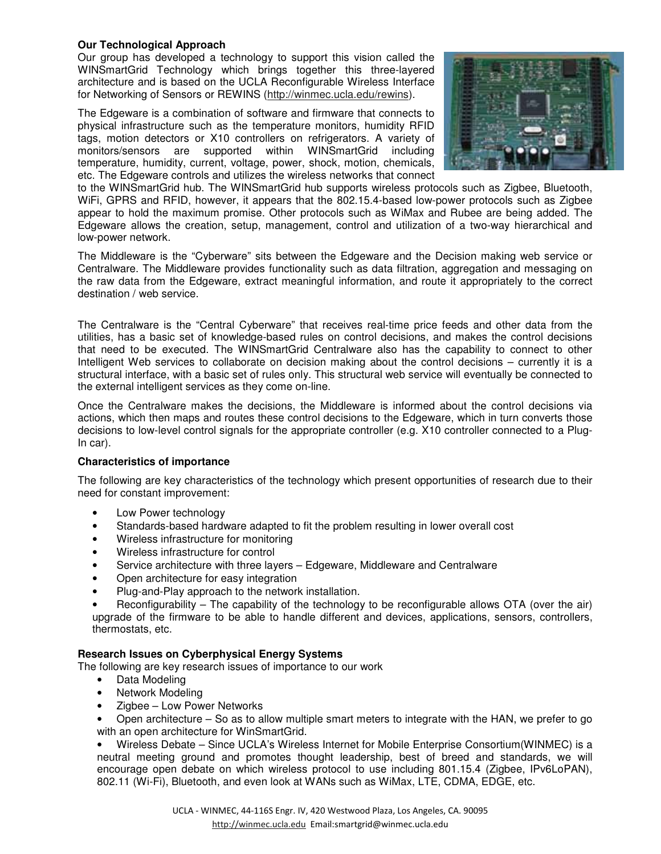# **Our Technological Approach**

Our group has developed a technology to support this vision called the WINSmartGrid Technology which brings together this three-layered architecture and is based on the UCLA Reconfigurable Wireless Interface for Networking of Sensors or REWINS (http://winmec.ucla.edu/rewins).

The Edgeware is a combination of software and firmware that connects to physical infrastructure such as the temperature monitors, humidity RFID tags, motion detectors or X10 controllers on refrigerators. A variety of monitors/sensors are supported within WINSmartGrid including temperature, humidity, current, voltage, power, shock, motion, chemicals, etc. The Edgeware controls and utilizes the wireless networks that connect



to the WINSmartGrid hub. The WINSmartGrid hub supports wireless protocols such as Zigbee, Bluetooth, WiFi, GPRS and RFID, however, it appears that the 802.15.4-based low-power protocols such as Zigbee appear to hold the maximum promise. Other protocols such as WiMax and Rubee are being added. The Edgeware allows the creation, setup, management, control and utilization of a two-way hierarchical and low-power network.

The Middleware is the "Cyberware" sits between the Edgeware and the Decision making web service or Centralware. The Middleware provides functionality such as data filtration, aggregation and messaging on the raw data from the Edgeware, extract meaningful information, and route it appropriately to the correct destination / web service.

The Centralware is the "Central Cyberware" that receives real-time price feeds and other data from the utilities, has a basic set of knowledge-based rules on control decisions, and makes the control decisions that need to be executed. The WINSmartGrid Centralware also has the capability to connect to other Intelligent Web services to collaborate on decision making about the control decisions – currently it is a structural interface, with a basic set of rules only. This structural web service will eventually be connected to the external intelligent services as they come on-line.

Once the Centralware makes the decisions, the Middleware is informed about the control decisions via actions, which then maps and routes these control decisions to the Edgeware, which in turn converts those decisions to low-level control signals for the appropriate controller (e.g. X10 controller connected to a Plug-In car).

#### **Characteristics of importance**

The following are key characteristics of the technology which present opportunities of research due to their need for constant improvement:

- Low Power technology
- Standards-based hardware adapted to fit the problem resulting in lower overall cost
- Wireless infrastructure for monitoring
- Wireless infrastructure for control
- Service architecture with three layers Edgeware, Middleware and Centralware
- Open architecture for easy integration
- Plug-and-Play approach to the network installation.
- Reconfigurability The capability of the technology to be reconfigurable allows OTA (over the air) upgrade of the firmware to be able to handle different and devices, applications, sensors, controllers, thermostats, etc.

#### **Research Issues on Cyberphysical Energy Systems**

The following are key research issues of importance to our work

- Data Modeling
- Network Modeling
- Zigbee Low Power Networks

• Open architecture – So as to allow multiple smart meters to integrate with the HAN, we prefer to go with an open architecture for WinSmartGrid.

• Wireless Debate – Since UCLA's Wireless Internet for Mobile Enterprise Consortium(WINMEC) is a neutral meeting ground and promotes thought leadership, best of breed and standards, we will encourage open debate on which wireless protocol to use including 801.15.4 (Zigbee, IPv6LoPAN), 802.11 (Wi-Fi), Bluetooth, and even look at WANs such as WiMax, LTE, CDMA, EDGE, etc.